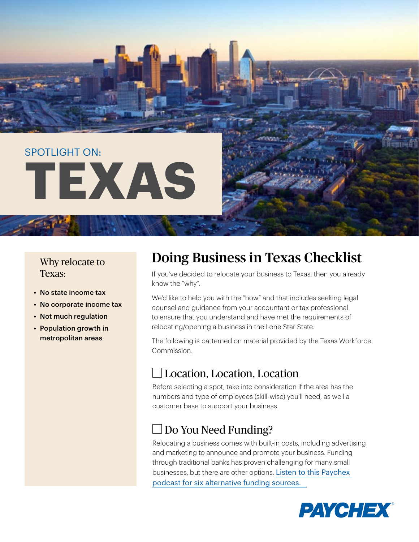# SPOTLIGHT ON: **TEXAS**

#### Why relocate to Texas:

- No state income tax
- No corporate income tax
- Not much regulation
- Population growth in metropolitan areas

## Doing Business in Texas Checklist

If you've decided to relocate your business to Texas, then you already know the "why".

We'd like to help you with the "how" and that includes seeking legal counsel and guidance from your accountant or tax professional to ensure that you understand and have met the requirements of relocating/opening a business in the Lone Star State.

The following is patterned on material provided by the Texas Workforce Commission.

#### Location, Location, Location

Before selecting a spot, take into consideration if the area has the numbers and type of employees (skill-wise) you'll need, as well a customer base to support your business.

#### $\Box$  Do You Need Funding?

Relocating a business comes with built-in costs, including advertising and marketing to announce and promote your business. Funding through traditional banks has proven challenging for many small businesses, but there are other options. [Listen to this Paychex](https://www.paychex.com/worx/podcasts/business-podcast#season3episode51)  [podcast for six alternative funding sources.](https://www.paychex.com/worx/podcasts/business-podcast#season3episode51)